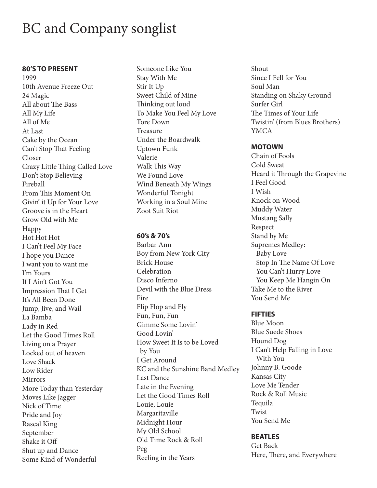# BC and Company songlist

#### **80'S TO PRESENT**

1999 10th Avenue Freeze Out 24 Magic All about The Bass All My Life All of Me At Last Cake by the Ocean Can't Stop That Feeling Closer Crazy Little Thing Called Love Don't Stop Believing Fireball From This Moment On Givin' it Up for Your Love Groove is in the Heart Grow Old with Me Happy Hot Hot Hot I Can't Feel My Face I hope you Dance I want you to want me I'm Yours If I Ain't Got You Impression That I Get It's All Been Done Jump, Jive, and Wail La Bamba Lady in Red Let the Good Times Roll Living on a Prayer Locked out of heaven Love Shack Low Rider Mirrors More Today than Yesterday Moves Like Jagger Nick of Time Pride and Joy Rascal King September Shake it Off Shut up and Dance Some Kind of Wonderful

Someone Like You Stay With Me Stir It Up Sweet Child of Mine Thinking out loud To Make You Feel My Love Tore Down Treasure Under the Boardwalk Uptown Funk Valerie Walk This Way We Found Love Wind Beneath My Wings Wonderful Tonight Working in a Soul Mine Zoot Suit Riot

#### **60's & 70's**

Barbar Ann Boy from New York City Brick House **Celebration** Disco Inferno Devil with the Blue Dress Fire Flip Flop and Fly Fun, Fun, Fun Gimme Some Lovin' Good Lovin' How Sweet It Is to be Loved by You I Get Around KC and the Sunshine Band Medley Last Dance Late in the Evening Let the Good Times Roll Louie, Louie Margaritaville Midnight Hour My Old School Old Time Rock & Roll Peg Reeling in the Years

Shout Since I Fell for You Soul Man Standing on Shaky Ground Surfer Girl The Times of Your Life Twistin' (from Blues Brothers) YMCA

## **MOTOWN**

Chain of Fools Cold Sweat Heard it Through the Grapevine I Feel Good I Wish Knock on Wood Muddy Water Mustang Sally Respect Stand by Me Supremes Medley: Baby Love Stop In The Name Of Love You Can't Hurry Love You Keep Me Hangin On Take Me to the River You Send Me

## **FIFTIES**

Blue Moon Blue Suede Shoes Hound Dog I Can't Help Falling in Love With You Johnny B. Goode Kansas City Love Me Tender Rock & Roll Music Tequila Twist You Send Me

## **BEATLES**

Get Back Here, There, and Everywhere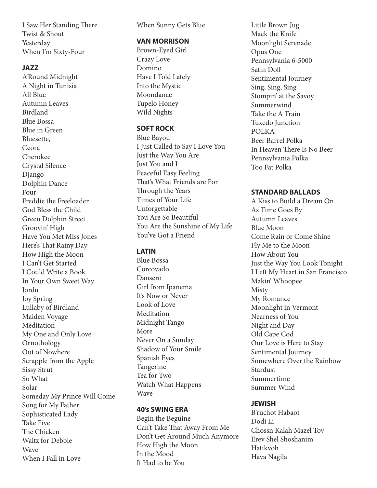I Saw Her Standing There Twist & Shout Yesterday When I'm Sixty-Four

#### **JAZZ**

A'Round Midnight A Night in Tunisia All Blue Autumn Leaves Birdland Blue Bossa Blue in Green Bluesette, Ceora Cherokee Crystal Silence Django Dolphin Dance Four Freddie the Freeloader God Bless the Child Green Dolphin Street Groovin' High Have You Met Miss Jones Here's That Rainy Day How High the Moon I Can't Get Started I Could Write a Book In Your Own Sweet Way Jordu Joy Spring Lullaby of Birdland Maiden Voyage Meditation My One and Only Love Ornothology Out of Nowhere Scrapple from the Apple Sissy Strut So What Solar Someday My Prince Will Come Song for My Father Sophisticated Lady Take Five The Chicken Waltz for Debbie Wave When I Fall in Love

When Sunny Gets Blue

#### **VAN MORRISON**

Brown-Eyed Girl Crazy Love Domino Have I Told Lately Into the Mystic Moondance Tupelo Honey Wild Nights

## **SOFT ROCK**

Blue Bayou I Just Called to Say I Love You Just the Way You Are Just You and I Peaceful Easy Feeling That's What Friends are For Through the Years Times of Your Life Unforgettable You Are So Beautiful You Are the Sunshine of My Life You've Got a Friend

# **LATIN**

Blue Bossa Corcovado Dansero Girl from Ipanema It's Now or Never Look of Love Meditation Midnight Tango More Never On a Sunday Shadow of Your Smile Spanish Eyes Tangerine Tea for Two Watch What Happens Wave

## **40's SWING ERA**

Begin the Beguine Can't Take That Away From Me Don't Get Around Much Anymore How High the Moon In the Mood It Had to be You

Little Brown Jug Mack the Knife Moonlight Serenade Opus One Pennsylvania 6-5000 Satin Doll Sentimental Journey Sing, Sing, Sing Stompin' at the Savoy Summerwind Take the A Train Tuxedo Junction POLKA Beer Barrel Polka In Heaven There Is No Beer Pennsylvania Polka Too Fat Polka

## **STANDARD BALLADS**

A Kiss to Build a Dream On As Time Goes By Autumn Leaves Blue Moon Come Rain or Come Shine Fly Me to the Moon How About You Just the Way You Look Tonight I Left My Heart in San Francisco Makin' Whoopee Misty My Romance Moonlight in Vermont Nearness of You Night and Day Old Cape Cod Our Love is Here to Stay Sentimental Journey Somewhere Over the Rainbow Stardust Summertime Summer Wind

## **JEWISH**

B'ruchot Habaot Dodi Li Chossn Kalah Mazel Tov Erev Shel Shoshanim Hatikvoh Hava Nagila